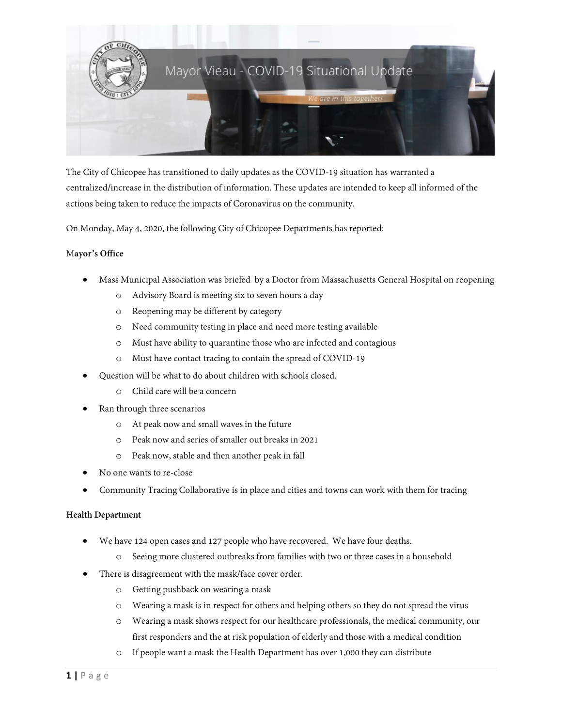

The City of Chicopee has transitioned to daily updates as the COVID-19 situation has warranted a centralized/increase in the distribution of information. These updates are intended to keep all informed of the actions being taken to reduce the impacts of Coronavirus on the community.

On Monday, May 4, 2020, the following City of Chicopee Departments has reported:

#### M**ayor's Office**

- Mass Municipal Association was briefed by a Doctor from Massachusetts General Hospital on reopening
	- o Advisory Board is meeting six to seven hours a day
	- o Reopening may be different by category
	- o Need community testing in place and need more testing available
	- o Must have ability to quarantine those who are infected and contagious
	- o Must have contact tracing to contain the spread of COVID-19
- Question will be what to do about children with schools closed.
	- o Child care will be a concern
- Ran through three scenarios
	- o At peak now and small waves in the future
	- o Peak now and series of smaller out breaks in 2021
	- o Peak now, stable and then another peak in fall
- No one wants to re-close
- Community Tracing Collaborative is in place and cities and towns can work with them for tracing

#### **Health Department**

- We have 124 open cases and 127 people who have recovered. We have four deaths.
	- o Seeing more clustered outbreaks from families with two or three cases in a household
- There is disagreement with the mask/face cover order.
	- o Getting pushback on wearing a mask
	- o Wearing a mask is in respect for others and helping others so they do not spread the virus
	- o Wearing a mask shows respect for our healthcare professionals, the medical community, our first responders and the at risk population of elderly and those with a medical condition
	- o If people want a mask the Health Department has over 1,000 they can distribute